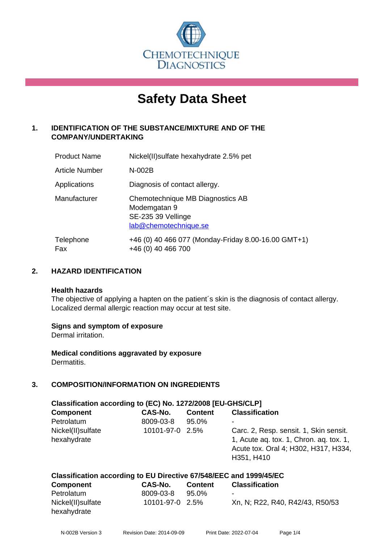

# **Safety Data Sheet**

# **1. IDENTIFICATION OF THE SUBSTANCE/MIXTURE AND OF THE COMPANY/UNDERTAKING**

| <b>Product Name</b> | Nickel(II) sulfate hexahydrate 2.5% pet                                                         |
|---------------------|-------------------------------------------------------------------------------------------------|
| Article Number      | $N-002B$                                                                                        |
| Applications        | Diagnosis of contact allergy.                                                                   |
| Manufacturer        | Chemotechnique MB Diagnostics AB<br>Modemgatan 9<br>SE-235 39 Vellinge<br>lab@chemotechnique.se |
| Telephone<br>Fax    | +46 (0) 40 466 077 (Monday-Friday 8.00-16.00 GMT+1)<br>+46 (0) 40 466 700                       |

# **2. HAZARD IDENTIFICATION**

#### **Health hazards**

The objective of applying a hapten on the patient's skin is the diagnosis of contact allergy. Localized dermal allergic reaction may occur at test site.

# **Signs and symptom of exposure**

Dermal irritation.

**Medical conditions aggravated by exposure** Dermatitis.

# **3. COMPOSITION/INFORMATION ON INGREDIENTS**

| Classification according to (EC) No. 1272/2008 [EU-GHS/CLP] |                 |                |                                                                                                                                         |
|-------------------------------------------------------------|-----------------|----------------|-----------------------------------------------------------------------------------------------------------------------------------------|
| <b>Component</b>                                            | <b>CAS-No.</b>  | <b>Content</b> | <b>Classification</b>                                                                                                                   |
| Petrolatum                                                  | 8009-03-8       | 95.0%          | ۰                                                                                                                                       |
| Nickel(II) sulfate<br>hexahydrate                           | 10101-97-0 2.5% |                | Carc. 2, Resp. sensit. 1, Skin sensit.<br>1, Acute ag. tox. 1, Chron. ag. tox. 1,<br>Acute tox. Oral 4; H302, H317, H334,<br>H351, H410 |

| Classification according to EU Directive 67/548/EEC and 1999/45/EC |                    |                |                |  |
|--------------------------------------------------------------------|--------------------|----------------|----------------|--|
| $P$ $\sim$ mnonont                                                 | CAC N <sub>a</sub> | <b>Contoni</b> | Classification |  |

| <b>Component</b>   | CAS-No.         | <b>Content</b> | <b>Classification</b>           |
|--------------------|-----------------|----------------|---------------------------------|
| Petrolatum         | 8009-03-8       | 95.0%          |                                 |
| Nickel(II) sulfate | 10101-97-0 2.5% |                | Xn, N; R22, R40, R42/43, R50/53 |
| hexahydrate        |                 |                |                                 |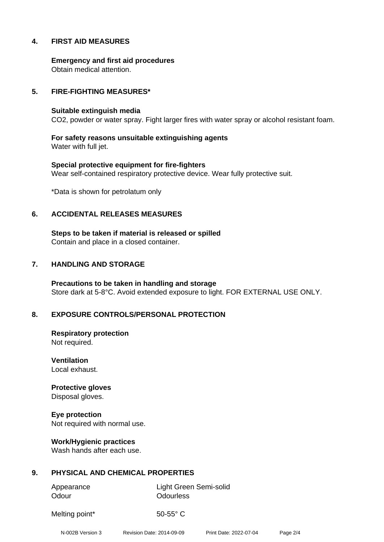# **4. FIRST AID MEASURES**

**Emergency and first aid procedures** Obtain medical attention.

#### **5. FIRE-FIGHTING MEASURES\***

#### **Suitable extinguish media**

CO2, powder or water spray. Fight larger fires with water spray or alcohol resistant foam.

**For safety reasons unsuitable extinguishing agents** Water with full jet.

**Special protective equipment for fire-fighters** Wear self-contained respiratory protective device. Wear fully protective suit.

\*Data is shown for petrolatum only

#### **6. ACCIDENTAL RELEASES MEASURES**

**Steps to be taken if material is released or spilled** Contain and place in a closed container.

#### **7. HANDLING AND STORAGE**

**Precautions to be taken in handling and storage** Store dark at 5-8°C. Avoid extended exposure to light. FOR EXTERNAL USE ONLY.

# **8. EXPOSURE CONTROLS/PERSONAL PROTECTION**

**Respiratory protection** Not required.

**Ventilation** Local exhaust.

**Protective gloves** Disposal gloves.

**Eye protection** Not required with normal use.

**Work/Hygienic practices** Wash hands after each use.

# **9. PHYSICAL AND CHEMICAL PROPERTIES**

Odour **Odourless** 

Appearance Light Green Semi-solid

Melting point\* 50-55° C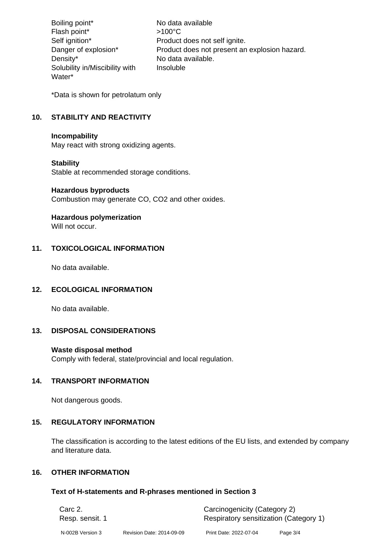Boiling point\* No data available Flash point\*  $>100^{\circ}$ C Self ignition\* Product does not self ignite. Danger of explosion\* Product does not present an explosion hazard. Density\* No data available. Solubility in/Miscibility with Water\* Insoluble

\*Data is shown for petrolatum only

# **10. STABILITY AND REACTIVITY**

#### **Incompability**

May react with strong oxidizing agents.

# **Stability**

Stable at recommended storage conditions.

#### **Hazardous byproducts**

Combustion may generate CO, CO2 and other oxides.

# **Hazardous polymerization**

Will not occur.

# **11. TOXICOLOGICAL INFORMATION**

No data available.

# **12. ECOLOGICAL INFORMATION**

No data available.

# **13. DISPOSAL CONSIDERATIONS**

# **Waste disposal method**

Comply with federal, state/provincial and local regulation.

# **14. TRANSPORT INFORMATION**

Not dangerous goods.

# **15. REGULATORY INFORMATION**

The classification is according to the latest editions of the EU lists, and extended by company and literature data.

# **16. OTHER INFORMATION**

# **Text of H-statements and R-phrases mentioned in Section 3**

| Carc 2.          |                           | Carcinogenicity (Category 2)           |          |  |
|------------------|---------------------------|----------------------------------------|----------|--|
| Resp. sensit. 1  |                           | Respiratory sensitization (Category 1) |          |  |
| N-002B Version 3 | Revision Date: 2014-09-09 | Print Date: 2022-07-04                 | Page 3/4 |  |